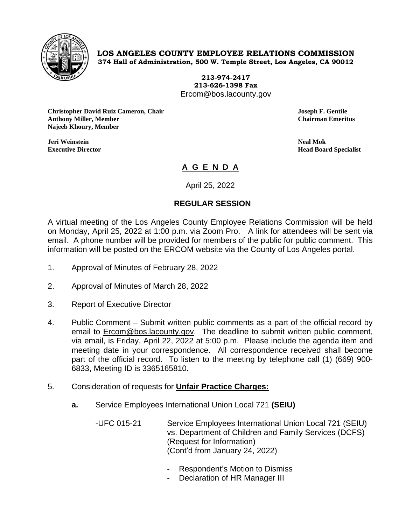

## **LOS ANGELES COUNTY EMPLOYEE RELATIONS COMMISSION 374 Hall of Administration, 500 W. Temple Street, Los Angeles, CA 90012**

**213-974-2417 213-626-1398 Fax** Ercom@bos.lacounty.gov

**Christopher David Ruiz Cameron, Chair Joseph F. Gentile Anthony Miller, Member Chairman Emeritus Najeeb Khoury, Member**

**Jeri Weinstein Neal Mok**

**Executive Director Head Board Specialist**

## **A G E N D A**

April 25, 2022

## **REGULAR SESSION**

A virtual meeting of the Los Angeles County Employee Relations Commission will be held on Monday, April 25, 2022 at 1:00 p.m. via Zoom Pro. A link for attendees will be sent via email. A phone number will be provided for members of the public for public comment. This information will be posted on the ERCOM website via the County of Los Angeles portal.

- 1. Approval of Minutes of February 28, 2022
- 2. Approval of Minutes of March 28, 2022
- 3. Report of Executive Director
- 4. Public Comment Submit written public comments as a part of the official record by email to **Ercom@bos.lacounty.gov.** The deadline to submit written public comment, via email, is Friday, April 22, 2022 at 5:00 p.m. Please include the agenda item and meeting date in your correspondence. All correspondence received shall become part of the official record. To listen to the meeting by telephone call (1) (669) 900- 6833, Meeting ID is 3365165810.
- 5. Consideration of requests for **Unfair Practice Charges:**
	- **a.** Service Employees International Union Local 721 **(SEIU)**

-UFC 015-21 Service Employees International Union Local 721 (SEIU) vs. Department of Children and Family Services (DCFS) (Request for Information) (Cont'd from January 24, 2022)

- Respondent's Motion to Dismiss
- Declaration of HR Manager III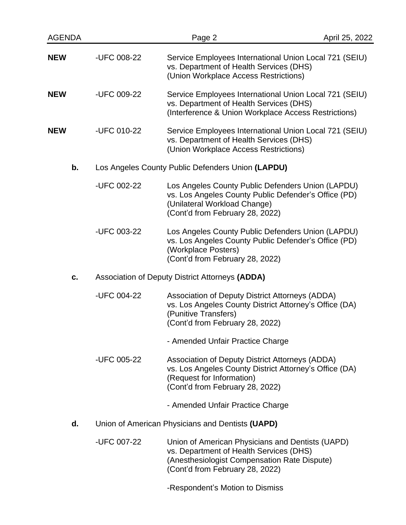| <b>AGENDA</b> |                                                   | Page 2                                                                                                                                                                         | April 25, 2022 |  |  |
|---------------|---------------------------------------------------|--------------------------------------------------------------------------------------------------------------------------------------------------------------------------------|----------------|--|--|
| NEW           | -UFC 008-22                                       | Service Employees International Union Local 721 (SEIU)<br>vs. Department of Health Services (DHS)<br>(Union Workplace Access Restrictions)                                     |                |  |  |
| NEW           | -UFC 009-22                                       | Service Employees International Union Local 721 (SEIU)<br>vs. Department of Health Services (DHS)<br>(Interference & Union Workplace Access Restrictions)                      |                |  |  |
| NEW           | -UFC 010-22                                       | Service Employees International Union Local 721 (SEIU)<br>vs. Department of Health Services (DHS)<br>(Union Workplace Access Restrictions)                                     |                |  |  |
| b.            | Los Angeles County Public Defenders Union (LAPDU) |                                                                                                                                                                                |                |  |  |
|               | -UFC 002-22                                       | Los Angeles County Public Defenders Union (LAPDU)<br>vs. Los Angeles County Public Defender's Office (PD)<br>(Unilateral Workload Change)<br>(Cont'd from February 28, 2022)   |                |  |  |
|               | -UFC 003-22                                       | Los Angeles County Public Defenders Union (LAPDU)<br>vs. Los Angeles County Public Defender's Office (PD)<br>(Workplace Posters)<br>(Cont'd from February 28, 2022)            |                |  |  |
| C.            | Association of Deputy District Attorneys (ADDA)   |                                                                                                                                                                                |                |  |  |
|               | -UFC 004-22                                       | Association of Deputy District Attorneys (ADDA)<br>vs. Los Angeles County District Attorney's Office (DA)<br>(Punitive Transfers)<br>(Cont'd from February 28, 2022)           |                |  |  |
|               |                                                   | - Amended Unfair Practice Charge                                                                                                                                               |                |  |  |
|               | -UFC 005-22                                       | Association of Deputy District Attorneys (ADDA)<br>vs. Los Angeles County District Attorney's Office (DA)<br>(Request for Information)<br>(Cont'd from February 28, 2022)      |                |  |  |
|               |                                                   | - Amended Unfair Practice Charge                                                                                                                                               |                |  |  |
| d.            | Union of American Physicians and Dentists (UAPD)  |                                                                                                                                                                                |                |  |  |
|               | -UFC 007-22                                       | Union of American Physicians and Dentists (UAPD)<br>vs. Department of Health Services (DHS)<br>(Anesthesiologist Compensation Rate Dispute)<br>(Cont'd from February 28, 2022) |                |  |  |
|               |                                                   | -Respondent's Motion to Dismiss                                                                                                                                                |                |  |  |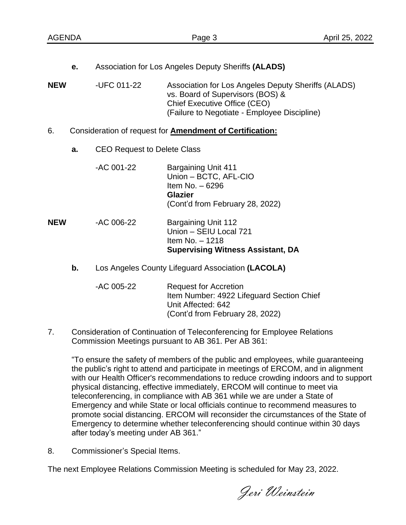| <b>AGENDA</b> |                                                                 |                                                   | Page 3                                                                                                                                                                                                                                | April 25, 2022 |  |
|---------------|-----------------------------------------------------------------|---------------------------------------------------|---------------------------------------------------------------------------------------------------------------------------------------------------------------------------------------------------------------------------------------|----------------|--|
| <b>NEW</b>    | е.                                                              | -UFC 011-22                                       | Association for Los Angeles Deputy Sheriffs (ALADS)<br>Association for Los Angeles Deputy Sheriffs (ALADS)<br>vs. Board of Supervisors (BOS) &<br><b>Chief Executive Office (CEO)</b><br>(Failure to Negotiate - Employee Discipline) |                |  |
| 6.            | Consideration of request for <b>Amendment of Certification:</b> |                                                   |                                                                                                                                                                                                                                       |                |  |
|               | a.                                                              | <b>CEO Request to Delete Class</b>                |                                                                                                                                                                                                                                       |                |  |
|               |                                                                 | -AC 001-22                                        | <b>Bargaining Unit 411</b><br>Union - BCTC, AFL-CIO<br>Item No. - 6296<br><b>Glazier</b><br>(Cont'd from February 28, 2022)                                                                                                           |                |  |
| <b>NEW</b>    |                                                                 | -AC 006-22                                        | <b>Bargaining Unit 112</b><br>Union - SEIU Local 721<br>Item No. - 1218<br><b>Supervising Witness Assistant, DA</b>                                                                                                                   |                |  |
|               | b.                                                              | Los Angeles County Lifeguard Association (LACOLA) |                                                                                                                                                                                                                                       |                |  |
|               |                                                                 | -AC 005-22                                        | <b>Request for Accretion</b><br>Item Number: 4922 Lifeguard Section Chief<br>Unit Affected: 642<br>(Cont'd from February 28, 2022)                                                                                                    |                |  |

7. Consideration of Continuation of Teleconferencing for Employee Relations Commission Meetings pursuant to AB 361. Per AB 361:

"To ensure the safety of members of the public and employees, while guaranteeing the public's right to attend and participate in meetings of ERCOM, and in alignment with our Health Officer's recommendations to reduce crowding indoors and to support physical distancing, effective immediately, ERCOM will continue to meet via teleconferencing, in compliance with AB 361 while we are under a State of Emergency and while State or local officials continue to recommend measures to promote social distancing. ERCOM will reconsider the circumstances of the State of Emergency to determine whether teleconferencing should continue within 30 days after today's meeting under AB 361."

8. Commissioner's Special Items.

The next Employee Relations Commission Meeting is scheduled for May 23, 2022.

Jeri Weinstein